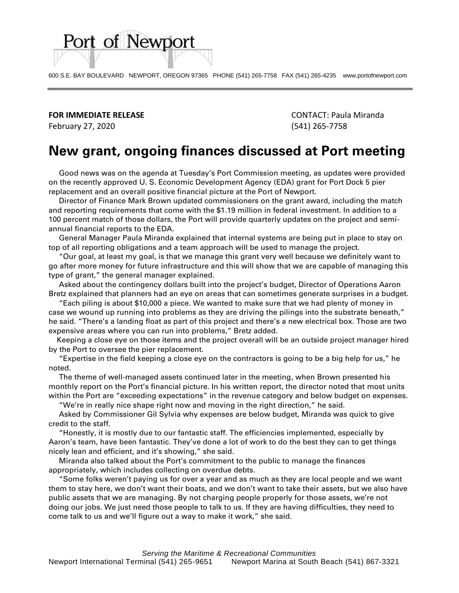600 S.E. BAY BOULEVARD NEWPORT, OREGON 97365 PHONE (541) 265-7758 FAX (541) 265-4235 www.portofnewport.com

**FOR IMMEDIATE RELEASE** CONTACT: Paula Miranda

Port of Newport

February 27, 2020 (541) 265-7758

## **New grant, ongoing finances discussed at Port meeting**

 Good news was on the agenda at Tuesday's Port Commission meeting, as updates were provided on the recently approved U. S. Economic Development Agency (EDA) grant for Port Dock 5 pier replacement and an overall positive financial picture at the Port of Newport.

 Director of Finance Mark Brown updated commissioners on the grant award, including the match and reporting requirements that come with the \$1.19 million in federal investment. In addition to a 100 percent match of those dollars, the Port will provide quarterly updates on the project and semiannual financial reports to the EDA.

 General Manager Paula Miranda explained that internal systems are being put in place to stay on top of all reporting obligations and a team approach will be used to manage the project.

 "Our goal, at least my goal, is that we manage this grant very well because we definitely want to go after more money for future infrastructure and this will show that we are capable of managing this type of grant," the general manager explained.

 Asked about the contingency dollars built into the project's budget, Director of Operations Aaron Bretz explained that planners had an eye on areas that can sometimes generate surprises in a budget.

 "Each piling is about \$10,000 a piece. We wanted to make sure that we had plenty of money in case we wound up running into problems as they are driving the pilings into the substrate beneath," he said. "There's a landing float as part of this project and there's a new electrical box. Those are two expensive areas where you can run into problems," Bretz added.

 Keeping a close eye on those items and the project overall will be an outside project manager hired by the Port to oversee the pier replacement.

 "Expertise in the field keeping a close eye on the contractors is going to be a big help for us," he noted.

 The theme of well-managed assets continued later in the meeting, when Brown presented his monthly report on the Port's financial picture. In his written report, the director noted that most units within the Port are "exceeding expectations" in the revenue category and below budget on expenses.

"We're in really nice shape right now and moving in the right direction," he said.

 Asked by Commissioner Gil Sylvia why expenses are below budget, Miranda was quick to give credit to the staff.

 "Honestly, it is mostly due to our fantastic staff. The efficiencies implemented, especially by Aaron's team, have been fantastic. They've done a lot of work to do the best they can to get things nicely lean and efficient, and it's showing," she said.

 Miranda also talked about the Port's commitment to the public to manage the finances appropriately, which includes collecting on overdue debts.

 "Some folks weren't paying us for over a year and as much as they are local people and we want them to stay here, we don't want their boats, and we don't want to take their assets, but we also have public assets that we are managing. By not charging people properly for those assets, we're not doing our jobs. We just need those people to talk to us. If they are having difficulties, they need to come talk to us and we'll figure out a way to make it work," she said.